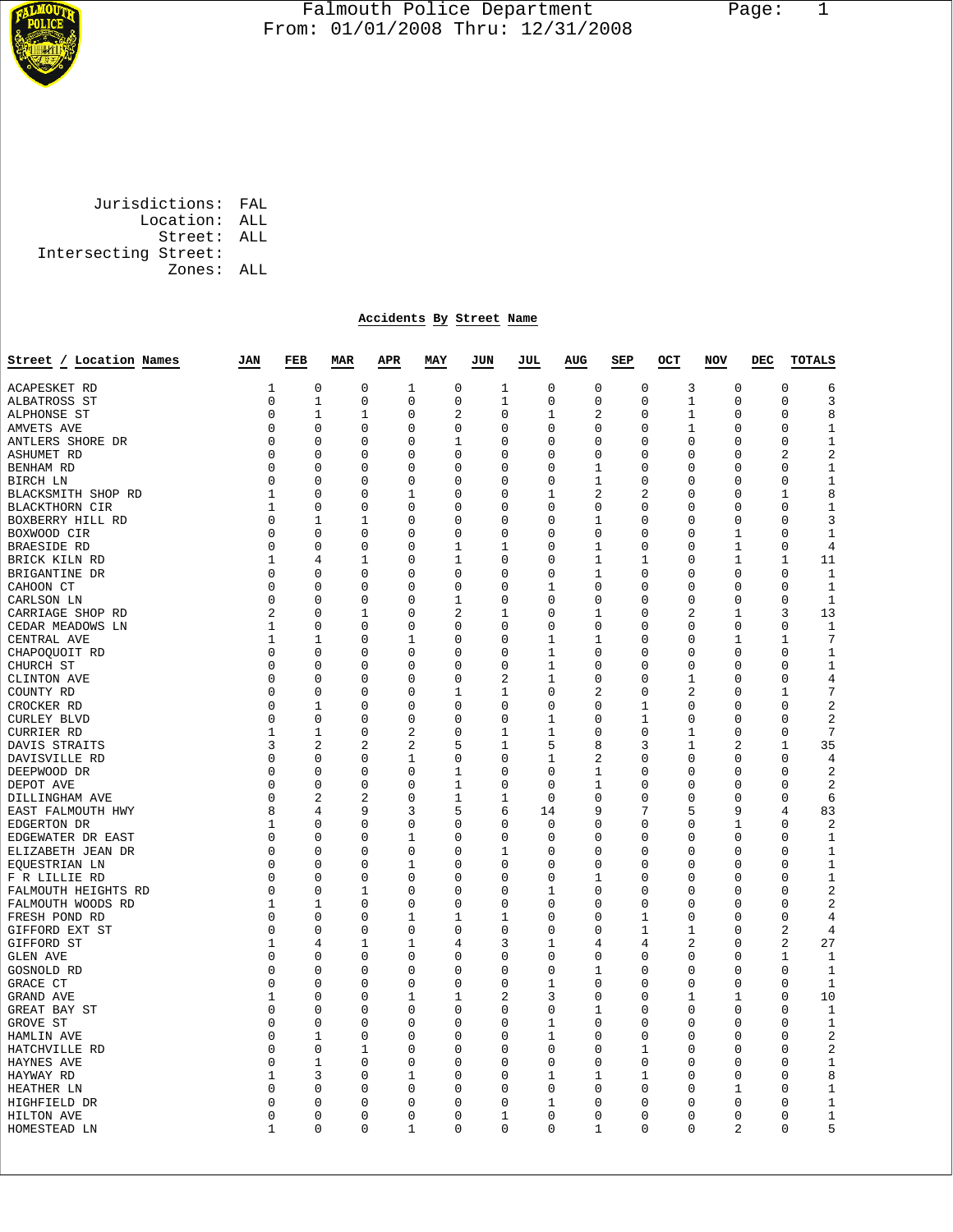

## Falmouth Police Department Page: 1  $\frac{1}{3}$  From: 01/01/2008 Thru: 12/31/2008

 Jurisdictions: FAL Location: ALL Street: ALL Intersecting Street: Zones: ALL

## **Accidents By Street Name**

| Street / Location Names            | JAN    | FEB<br><b>MAR</b> |                | <b>APR</b>     | MAY          | JUN           | JUL,         | <b>AUG</b>     | SEP      | OCT            | NOV            | DEC | <b>TOTALS</b>                         |
|------------------------------------|--------|-------------------|----------------|----------------|--------------|---------------|--------------|----------------|----------|----------------|----------------|-----|---------------------------------------|
| ACAPESKET RD                       | 1      | 0                 | $\mathbf 0$    | $\mathbf{1}$   | $\mathbf 0$  | 1             | $\mathbf 0$  | 0              | 0        | 3              | $\mathbf 0$    |     | $\mathbf 0$<br>6                      |
| ALBATROSS ST                       | 0      | 1                 | 0              | 0              | 0            | 1             | 0            | 0              | 0        | 1              | 0              |     | 3<br>0                                |
| ALPHONSE ST                        | 0      | 1                 | 1              | 0              | 2            | $\Omega$      | 1            | 2              | 0        | 1              | $\mathbf 0$    |     | 8<br>$\Omega$                         |
| AMVETS AVE                         | 0      | $\mathbf 0$       | $\Omega$       | 0              | 0            | $\Omega$      | $\Omega$     | 0              | $\Omega$ | 1              | $\mathbf 0$    |     | $\mathbf{1}$<br>$\Omega$              |
| ANTLERS SHORE DR                   | 0      | 0                 | $\Omega$       | $\Omega$       | 1            | $\Omega$      | $\Omega$     | $\Omega$       | 0        | $\Omega$       | $\Omega$       |     | $1\,$<br>$\Omega$                     |
| ASHUMET RD                         | 0      | 0                 | $\Omega$       | 0              | $\mathbf 0$  | $\Omega$      | 0            | $\mathbf 0$    | 0        | $\mathbf 0$    | $\mathbf 0$    |     | $\overline{2}$<br>2                   |
| BENHAM RD                          | 0      | 0                 | 0              | 0              | 0            | 0             | 0            | 1              | 0        | 0              | 0              |     | $1\,$<br>0                            |
| BIRCH LN                           | 0      | $\Omega$          | $\Omega$       | 0              | $\Omega$     | $\Omega$      | $\Omega$     | 1              | 0        | $\Omega$       | 0              |     | 1<br>0                                |
| BLACKSMITH SHOP RD                 | 1      | 0                 | 0              | 1              | $\mathbf 0$  | 0             | 1            | $\overline{2}$ | 2        | 0              | $\mathbf 0$    |     | 8<br>1                                |
| BLACKTHORN CIR                     | 1      | $\Omega$          | $\Omega$       | 0              | $\Omega$     | $\Omega$      | $\Omega$     | $\Omega$       | 0        | 0              | $\Omega$       |     | $\mathbf{1}$<br>$\Omega$              |
| BOXBERRY HILL RD                   | 0      | 1                 | 1              | 0              | 0            | 0             | 0            | 1              | 0        | 0              | $\mathbf 0$    |     | 3<br>$\Omega$                         |
| BOXWOOD CIR                        | 0      | 0                 | 0              | 0              | 0            | 0             | 0            | 0              | 0        | 0              | 1              |     | $\mathbf{1}$<br>0                     |
| <b>BRAESIDE RD</b>                 | 0      | 0                 | 0              | 0              | 1            | 1             | 0            | 1              | 0        | 0              | 1              |     | 0<br>4                                |
| BRICK KILN RD                      | 1      | 4                 | 1              | 0              | 1            | 0             | 0            | 1              | 1        | 0              | 1              |     | 11<br>1                               |
| BRIGANTINE DR                      | 0      | 0                 | 0              | 0              | 0            | $\Omega$      | 0            | 1              | 0        | 0              | 0              |     | $\Omega$<br>$\mathbf 1$               |
| CAHOON CT                          | 0      | $\mathbf 0$       | $\mathbf 0$    | 0              | $\mathbf 0$  | $\mathbf 0$   | $\mathbf 1$  | $\mathbf 0$    | 0        | 0              | $\mathbf 0$    |     | $\Omega$<br>$\mathbf 1$               |
| CARLSON LN                         | 0      | 0                 | 0              | 0              | 1            | 0             | 0            | 0              | 0        | 0              | 0              |     | $\mathbf{1}$<br>0                     |
| CARRIAGE SHOP RD                   | 2      | 0                 | 1              | 0              | 2            | 1             | 0            | 1              | 0        | 2              | 1              |     | 13<br>3                               |
| CEDAR MEADOWS LN                   | 1      | $\mathbf 0$       | $\mathbf 0$    | 0              | $\mathbf 0$  | 0             | 0            | 0              | 0        | $\mathsf 0$    | $\mathbf 0$    |     | $\mathbf{1}$<br>0                     |
| CENTRAL AVE                        | 1      | 1                 | $\Omega$       | 1              | $\Omega$     | $\Omega$      | 1            | 1              | 0        | 0              | 1              |     | 7<br>$\mathbf{1}$                     |
| CHAPOQUOIT RD                      | 0      | $\mathbf 0$       | 0              | 0              | $\mathbf 0$  | 0             | $\mathbf{1}$ | 0              | 0        | $\mathsf 0$    | $\mathbf 0$    |     | $\mathsf 0$<br>$\mathbf 1$            |
| CHURCH ST                          | 0      | $\mathbf 0$       | 0              | 0              | $\mathbf 0$  | 0             | 1            | 0              | 0        | 0              | 0              |     | $\mathbf{1}$<br>0                     |
| CLINTON AVE                        | 0      | $\mathbf 0$       | 0              | 0              | $\mathbf 0$  | 2             | 1            | 0              | 0        | $\mathbf{1}$   | 0              |     | $\overline{4}$<br>0                   |
| COUNTY RD                          | 0      | $\mathbf 0$       | 0              | 0              | $\mathbf{1}$ | 1             | 0            | $\overline{2}$ | 0        | 2              | $\mathbf 0$    |     | 7<br>1                                |
| CROCKER RD                         | 0      | 1                 | 0              | 0              | $\mathbf 0$  | 0             | 0            | 0              | 1        | 0              | $\mathbf 0$    |     | $\sqrt{2}$<br>0                       |
| CURLEY BLVD                        | 0      | $\mathbf 0$       | 0              | 0              | $\mathbf 0$  | 0             | 1            | 0              | 1        | $\mathsf 0$    | 0              |     | $\overline{2}$<br>0                   |
| CURRIER RD                         | 1      | 1                 | 0              | 2              | 0            | 1             | 1            | 0              | 0        | 1              | 0              |     | 7<br>0                                |
| DAVIS STRAITS                      | 3      | $\overline{a}$    | $\overline{2}$ | $\overline{2}$ | 5            | 1             | 5            | 8              | 3        | 1              | $\overline{c}$ |     | 35<br>$\mathbf{1}$                    |
| DAVISVILLE RD                      | 0      | 0                 | 0              | 1              | 0            | 0             | 1            | $\overline{2}$ | 0        | 0              | 0              |     | $\overline{4}$<br>0                   |
| DEEPWOOD DR                        | 0      | $\mathbf 0$       | 0              | 0              | 1            | 0             | 0            | 1              | 0        | 0              | 0              |     | $\overline{2}$<br>0                   |
| DEPOT AVE                          | 0      | $\mathbf 0$       | 0              | 0              | 1            | 0             | 0            | 1              | 0        | 0              | 0              |     | $\overline{2}$<br>0                   |
| DILLINGHAM AVE                     | 0      | $\overline{2}$    | 2              | 0              | 1            | 1             | $\Omega$     | $\Omega$       | 0        | 0              | 0              |     | 6<br>$\Omega$                         |
| EAST FALMOUTH HWY                  | 8      | 4                 | 9              | 3              | 5            | 6             | 14           | 9              | 7        | 5              | 9              |     | 83<br>4                               |
| EDGERTON DR                        | 1      | 0                 | 0              | 0              | $\mathbf 0$  | 0             | 0            | 0              | 0        | 0              | 1              |     | $\overline{2}$<br>0                   |
| EDGEWATER DR EAST                  | 0      | 0                 | 0              | 1              | 0            | 0             | 0            | 0              | 0        | 0              | 0              |     | $\mathbf{1}$<br>0                     |
| ELIZABETH JEAN DR                  | 0      | $\mathbf 0$       | 0              | 0              | $\mathbf 0$  | 1             | 0            | 0              | 0        | 0              | $\mathbf 0$    |     | $\mathbf 1$<br>0                      |
| EQUESTRIAN LN                      | 0      | 0<br>$\mathbf 0$  | 0              | 1<br>0         | 0            | 0             | 0<br>0       | 0              | 0        | 0              | 0              |     | $\mathbf{1}$<br>$\Omega$              |
| F R LILLIE RD                      | 0      |                   | 0              |                | 0            | 0             |              | 1              | 0        | 0              | 0              |     | $\mathbf 1$<br>0                      |
| FALMOUTH HEIGHTS RD                | 0      | 0                 | 1              | 0              | 0            | 0<br>$\Omega$ | 1<br>0       | 0              | 0        | 0              | 0              |     | $\overline{2}$<br>0<br>$\overline{2}$ |
| FALMOUTH WOODS RD<br>FRESH POND RD | 1<br>0 | 1<br>0            | 0<br>0         | 0<br>1         | 0<br>1       | 1             | 0            | 0<br>0         | 0<br>1   | 0<br>0         | 0<br>0         |     | 0<br>$\overline{4}$<br>0              |
| GIFFORD EXT ST                     | 0      | 0                 | 0              | 0              | 0            | $\Omega$      | 0            | 0              | 1        | 1              | 0              |     | $\overline{4}$<br>2                   |
| GIFFORD ST                         | 1      | 4                 | 1              | 1              | 4            | 3             | 1            | 4              | 4        | $\overline{2}$ | 0              |     | 27<br>$\overline{2}$                  |
| <b>GLEN AVE</b>                    | 0      | $\Omega$          | $\Omega$       | 0              | 0            | $\Omega$      | $\Omega$     | $\Omega$       | 0        | $\Omega$       | $\Omega$       |     | 1<br>1                                |
| <b>GOSNOLD RD</b>                  | 0      | 0                 | 0              | 0              | 0            | 0             | 0            | 1              | 0        | 0              | 0              |     | 0<br>1                                |
| GRACE CT                           | 0      | 0                 | 0              | 0              | $\mathbf 0$  | 0             | 1            | 0              | 0        | 0              | 0              |     | $\mathbf{1}$<br>0                     |
| GRAND AVE                          | 1      | 0                 | 0              | 1              | 1            | 2             | 3            | 0              | 0        | 1              | 1              |     | 10<br>0                               |
| GREAT BAY ST                       | 0      | 0                 | 0              | 0              | $\mathbf 0$  | 0             | 0            | 1              | 0        | 0              | 0              |     | 0<br>1                                |
| GROVE ST                           | 0      | 0                 | 0              | 0              | 0            | 0             | 1            | 0              | 0        | 0              | $\mathbf 0$    |     | $\mathbf{1}$<br>0                     |
| HAMLIN AVE                         | 0      | 1                 | 0              | 0              | $\mathbf 0$  | 0             | 1            | 0              | 0        | 0              | 0              |     | $\overline{2}$<br>0                   |
| HATCHVILLE RD                      | 0      | 0                 | 1              | 0              | 0            | 0             | 0            | 0              | 1        | 0              | 0              |     | $\sqrt{2}$<br>0                       |
| HAYNES AVE                         | 0      | 1                 | $\Omega$       | 0              | 0            | $\Omega$      | $\Omega$     | $\Omega$       | $\Omega$ | $\Omega$       | $\Omega$       |     | $1\,$<br>$\Omega$                     |
| HAYWAY RD                          | 1      | 3                 | 0              | 1              | 0            | 0             | 1            | 1              | 1        | 0              | 0              |     | 8<br>0                                |
| HEATHER LN                         | 0      | $\Omega$          | 0              | $\Omega$       | $\Omega$     | $\Omega$      | $\Omega$     | 0              | $\Omega$ | $\Omega$       | 1              |     | $\mathbf 1$<br>0                      |
| HIGHFIELD DR                       | 0      | $\Omega$          | 0              | $\Omega$       | $\Omega$     | $\Omega$      | $\mathbf 1$  | $\Omega$       | 0        | $\Omega$       | $\mathbf 0$    |     | $\mathbf{1}$<br>0                     |
| HILTON AVE                         | 0      | 0                 | 0              | 0              | 0            | 1             | 0            | 0              | 0        | 0              | 0              |     | 0<br>$\mathbf 1$                      |
| HOMESTEAD LN                       | 1      | $\Omega$          | $\Omega$       | 1              | $\Omega$     | $\Omega$      | $\Omega$     | 1              | $\Omega$ | $\Omega$       | 2              |     | 5<br>$\Omega$                         |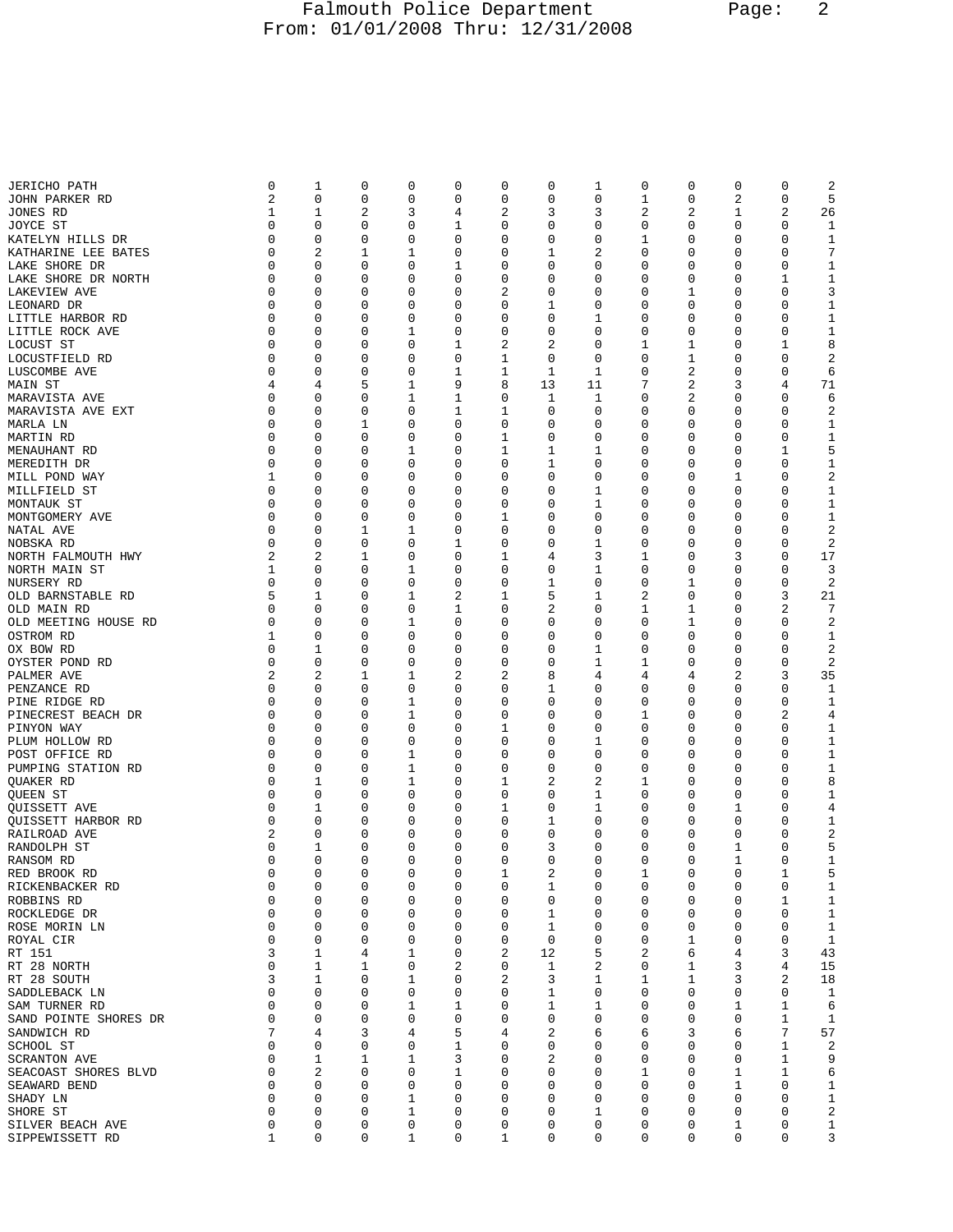## Falmouth Police Department Page: 2 From: 01/01/2008 Thru: 12/31/2008

| <b>JERICHO PATH</b>   | 0           | 1                       | 0           | 0           | 0           | 0              | 0           | 1           | 0        | 0        | 0            | 0           | 2                       |
|-----------------------|-------------|-------------------------|-------------|-------------|-------------|----------------|-------------|-------------|----------|----------|--------------|-------------|-------------------------|
| JOHN PARKER RD        | 2           | 0                       | 0           | $\mathbf 0$ | 0           | $\mathbf 0$    | 0           | 0           | 1        | 0        | 2            | $\mathbf 0$ | 5                       |
|                       | 1           | 1                       | 2           | 3           | 4           | $\overline{2}$ | 3           | 3           | 2        | 2        | 1            | 2           | 26                      |
| JONES RD              |             |                         |             |             |             |                |             |             |          |          |              |             |                         |
| JOYCE ST              | 0           | 0                       | 0           | 0           | 1           | 0              | 0           | 0           | 0        | 0        | 0            | 0           | 1                       |
| KATELYN HILLS DR      | 0           | 0                       | 0           | 0           | 0           | 0              | 0           | 0           | 1        | 0        | 0            | 0           | 1                       |
| KATHARINE LEE BATES   | 0           | $\overline{2}$          | 1           | 1           | 0           | 0              | 1           | 2           | 0        | 0        | 0            | $\mathbf 0$ | 7                       |
|                       |             |                         |             |             |             |                |             |             |          |          |              |             |                         |
| LAKE SHORE DR         | 0           | 0                       | 0           | 0           | 1           | 0              | 0           | 0           | 0        | 0        | 0            | 0           | $\mathbf{1}$            |
| LAKE SHORE DR NORTH   | 0           | 0                       | 0           | 0           | 0           | $\mathbf 0$    | 0           | 0           | 0        | 0        | 0            | 1           | $\mathbf{1}$            |
| LAKEVIEW AVE          | 0           | 0                       | 0           | 0           | 0           | $\sqrt{2}$     | 0           | 0           | 0        | 1        | 0            | 0           | 3                       |
| LEONARD DR            | 0           | 0                       | 0           | 0           | 0           | 0              | 1           | 0           | 0        | 0        | 0            | 0           | $\mathbf{1}$            |
|                       |             |                         |             |             |             |                |             |             |          |          |              |             |                         |
| LITTLE HARBOR RD      | 0           | 0                       | 0           | 0           | 0           | $\mathbf 0$    | 0           | 1           | 0        | 0        | 0            | 0           | $1\,$                   |
| LITTLE ROCK AVE       | 0           | 0                       | 0           | 1           | 0           | $\mathbf 0$    | 0           | 0           | 0        | 0        | 0            | 0           | $1\,$                   |
| LOCUST ST             | 0           | 0                       | 0           | 0           | 1           | 2              | 2           | 0           | 1        | 1        | 0            | 1           | 8                       |
| LOCUSTFIELD RD        | $\mathbf 0$ | 0                       | 0           | 0           | 0           | 1              | 0           | $\mathbf 0$ | 0        | 1        | 0            | 0           | 2                       |
|                       |             |                         |             |             |             |                |             |             |          |          |              |             |                         |
| LUSCOMBE AVE          | 0           | 0                       | 0           | 0           | 1           | $\mathbf{1}$   | 1           | 1           | 0        | 2        | 0            | 0           | 6                       |
| MAIN ST               | 4           | 4                       | 5           | 1           | 9           | 8              | 13          | 11          | 7        | 2        | 3            | 4           | 71                      |
| MARAVISTA AVE         | 0           | 0                       | 0           | 1           | $\mathbf 1$ | 0              | 1           | 1           | 0        | 2        | 0            | 0           | 6                       |
|                       |             | $\mathbf 0$             |             |             |             |                |             |             |          |          |              | $\mathbf 0$ |                         |
| MARAVISTA AVE EXT     | 0           |                         | 0           | 0           | 1           | $\mathbf 1$    | 0           | 0           | 0        | 0        | 0            |             | $\sqrt{2}$              |
| MARLA LN              | 0           | 0                       | 1           | 0           | 0           | 0              | 0           | 0           | 0        | 0        | 0            | 0           | 1                       |
| MARTIN RD             | 0           | 0                       | 0           | 0           | 0           | 1              | 0           | 0           | 0        | 0        | 0            | 0           | $\mathbf{1}$            |
| MENAUHANT RD          | $\mathbf 0$ | 0                       | 0           | 1           | $\mathbf 0$ | $\mathbf 1$    | 1           | $\mathbf 1$ | 0        | 0        | 0            | $\mathbf 1$ | 5                       |
|                       |             |                         |             |             |             |                |             |             |          |          |              |             |                         |
| MEREDITH DR           | 0           | 0                       | 0           | 0           | 0           | 0              | 1           | 0           | 0        | 0        | 0            | 0           | 1                       |
| MILL POND WAY         | 1           | 0                       | 0           | 0           | 0           | $\mathbf 0$    | 0           | 0           | 0        | 0        | 1            | 0           | $\overline{\mathbf{c}}$ |
| MILLFIELD ST          | $\mathbf 0$ | $\mathbf 0$             | 0           | 0           | 0           | $\mathbf 0$    | 0           | 1           | 0        | 0        | 0            | 0           | $1\,$                   |
| MONTAUK ST            | 0           | 0                       | 0           | 0           | 0           | 0              | 0           | 1           | 0        | 0        | 0            | 0           | 1                       |
|                       |             |                         |             |             |             |                |             |             |          |          |              |             |                         |
| MONTGOMERY AVE        | $\mathbf 0$ | 0                       | 0           | 0           | 0           | $\mathbf 1$    | 0           | 0           | 0        | 0        | 0            | 0           | $\mathbf{1}$            |
| NATAL AVE             | $\mathbf 0$ | 0                       | 1           | 1           | 0           | $\mathbf 0$    | 0           | 0           | 0        | 0        | 0            | 0           | $\overline{2}$          |
| NOBSKA RD             | 0           | 0                       | 0           | 0           | 1           | 0              | 0           | 1           | 0        | 0        | 0            | 0           | 2                       |
| NORTH FALMOUTH HWY    | 2           | $\overline{a}$          | 1           | 0           | 0           | 1              | 4           | 3           | 1        | 0        | 3            | 0           | 17                      |
|                       |             |                         |             |             |             |                |             |             |          |          |              |             |                         |
| NORTH MAIN ST         | 1           | $\mathbf 0$             | 0           | 1           | 0           | $\mathbf 0$    | 0           | 1           | 0        | 0        | 0            | 0           | 3                       |
| NURSERY RD            | 0           | 0                       | 0           | 0           | 0           | 0              | 1           | 0           | 0        | 1        | 0            | 0           | 2                       |
| OLD BARNSTABLE RD     | 5           | 1                       | 0           | 1           | 2           | 1              | 5           | 1           | 2        | 0        | 0            | 3           | 21                      |
| OLD MAIN RD           | $\mathbf 0$ | $\mathbf 0$             | 0           | 0           | 1           | $\mathbf 0$    | 2           | 0           | 1        | 1        | 0            | 2           | 7                       |
|                       |             |                         |             |             |             |                |             |             |          |          |              |             |                         |
| OLD MEETING HOUSE RD  | 0           | 0                       | 0           | 1           | 0           | 0              | 0           | 0           | 0        | 1        | 0            | 0           | 2                       |
| OSTROM RD             | 1           | 0                       | 0           | 0           | 0           | $\mathbf 0$    | 0           | 0           | 0        | 0        | 0            | 0           | 1                       |
| OX BOW RD             | $\mathbf 0$ | 1                       | 0           | 0           | 0           | 0              | 0           | 1           | 0        | 0        | 0            | 0           | $\sqrt{2}$              |
| OYSTER POND RD        | 0           | $\Omega$                | 0           | 0           | 0           | 0              | 0           | 1           | 1        | 0        | 0            | 0           | 2                       |
|                       | 2           | $\overline{2}$          |             |             | 2           | $\overline{2}$ | 8           | 4           | 4        |          | 2            | 3           | 35                      |
| PALMER AVE            |             |                         | 1           | 1           |             |                |             |             |          | 4        |              |             |                         |
| PENZANCE RD           | 0           | 0                       | $\mathbf 0$ | $\mathbf 0$ | 0           | 0              | 1           | 0           | 0        | 0        | 0            | 0           | 1                       |
| PINE RIDGE RD         | 0           | 0                       | 0           | 1           | 0           | 0              | 0           | 0           | 0        | 0        | 0            | 0           | 1                       |
| PINECREST BEACH DR    | 0           | 0                       | 0           | 1           | 0           | $\mathbf 0$    | 0           | 0           | 1        | 0        | 0            | 2           | 4                       |
| PINYON WAY            | 0           | $\mathbf 0$             | 0           | 0           | 0           | $\mathbf{1}$   | 0           | 0           | 0        | 0        | 0            | $\mathbf 0$ | 1                       |
|                       | 0           | 0                       |             |             |             |                | 0           |             |          |          |              |             |                         |
| PLUM HOLLOW RD        |             |                         | 0           | 0           | 0           | 0              |             | 1           | 0        | 0        | 0            | 0           | 1                       |
| POST OFFICE RD        | 0           | 0                       | 0           | 1           | 0           | $\mathbf 0$    | 0           | 0           | 0        | 0        | 0            | 0           | $\mathbf{1}$            |
| PUMPING STATION RD    | 0           | 0                       | 0           | 1           | 0           | $\mathbf 0$    | 0           | 0           | 0        | 0        | 0            | $\mathbf 0$ | $\mathbf{1}$            |
| QUAKER RD             | 0           | 1                       | 0           | 1           | 0           | 1              | 2           | 2           | 1        | 0        | 0            | 0           | 8                       |
| QUEEN ST              | 0           | 0                       | 0           | 0           | 0           | $\mathbf 0$    | 0           | 1           | 0        | 0        | 0            | 0           | 1                       |
|                       |             |                         |             |             |             |                |             |             |          |          |              |             |                         |
| QUISSETT AVE          | $\mathbf 0$ | 1                       | 0           | 0           | 0           | $\mathbf 1$    | 0           | 1           | 0        | 0        | 1            | 0           | 4                       |
| OUISSETT HARBOR RD    | 0           | 0                       | 0           | 0           | 0           | 0              | 1           | 0           | 0        | 0        | 0            | 0           | 1                       |
| RAILROAD AVE          | 2           | 0                       | 0           | 0           | 0           | $\mathbf 0$    | 0           | 0           | 0        | 0        | 0            | 0           | 2                       |
| RANDOLPH ST           | 0           | 1                       | 0           | 0           | 0           | $\mathbf 0$    | 3           | 0           | 0        | 0        | 1            | 0           | 5                       |
| RANSOM RD             | 0           | $\Omega$                | $\mathbf 0$ | 0           | 0           | 0              | 0           | 0           | $\Omega$ | $\Omega$ | $\mathbf{1}$ | 0           | 1                       |
|                       |             |                         |             |             |             |                |             |             |          |          |              |             |                         |
| RED BROOK RD          | 0           | 0                       | 0           | 0           | 0           | T              | 2           | 0           | T        | 0        | 0            | 1           | 5                       |
| RICKENBACKER RD       | 0           | 0                       | 0           | $\mathbf 0$ | 0           | $\mathbf 0$    | 1           | 0           | 0        | 0        | 0            | $\mathsf 0$ | 1                       |
| ROBBINS RD            | 0           | 0                       | 0           | 0           | 0           | 0              | 0           | 0           | 0        | 0        | 0            | 1           | $\mathbf{1}$            |
| ROCKLEDGE DR          | $\mathbf 0$ | $\mathbf 0$             | 0           | 0           | 0           | $\mathbf 0$    | 1           | 0           | 0        | 0        | 0            | 0           | $1\,$                   |
| ROSE MORIN LN         | $\mathbf 0$ | $\mathbf 0$             | 0           | 0           | 0           | $\mathbf 0$    | $\mathbf 1$ | 0           | 0        | 0        | 0            | 0           | $1\,$                   |
|                       |             |                         |             |             |             |                |             |             |          |          |              |             |                         |
| ROYAL CIR             | 0           | 0                       | 0           | 0           | 0           | 0              | 0           | 0           | 0        | 1        | 0            | 0           | $\mathbf{1}$            |
| RT 151                | 3           | 1                       | 4           | 1           | 0           | $\overline{2}$ | 12          | 5           | 2        | 6        | 4            | 3           | 43                      |
| RT 28 NORTH           | $\mathbf 0$ | 1                       | 1           | 0           | 2           | $\mathbf 0$    | 1           | 2           | 0        | 1        | 3            | 4           | 15                      |
| RT 28 SOUTH           | 3           | 1                       | 0           | 1           | 0           | 2              | 3           | 1           | 1        | 1        | 3            | 2           | 18                      |
| SADDLEBACK LN         | $\mathbf 0$ | 0                       | 0           | 0           | 0           | $\mathbf 0$    | 1           | 0           | 0        | 0        | 0            | 0           | 1                       |
|                       |             |                         |             |             |             |                |             |             |          |          |              |             |                         |
| SAM TURNER RD         | 0           | $\mathbf 0$             | 0           | 1           | 1           | $\mathbf 0$    | 1           | 1           | 0        | 0        | 1            | $\mathbf 1$ | 6                       |
| SAND POINTE SHORES DR | 0           | 0                       | 0           | 0           | 0           | $\mathbf 0$    | 0           | 0           | 0        | 0        | 0            | 1           | 1                       |
| SANDWICH RD           | 7           | 4                       | 3           | 4           | 5           | 4              | 2           | 6           | 6        | 3        | 6            | 7           | 57                      |
| SCHOOL ST             | $\mathbf 0$ | $\mathbf 0$             | 0           | $\mathbf 0$ | 1           | 0              | 0           | 0           | 0        | 0        | 0            | 1           | $\overline{c}$          |
|                       | 0           | 1                       | 1           | 1           | 3           | 0              | 2           | 0           | 0        | 0        | 0            | 1           |                         |
| <b>SCRANTON AVE</b>   |             |                         |             |             |             |                |             |             |          |          |              |             | 9                       |
| SEACOAST SHORES BLVD  | $\mathbf 0$ | $\overline{\mathbf{c}}$ | 0           | $\mathbf 0$ | 1           | $\mathbf 0$    | 0           | 0           | 1        | 0        | 1            | 1           | 6                       |
| SEAWARD BEND          | $\mathbf 0$ | $\mathbf 0$             | 0           | 0           | 0           | $\mathbf 0$    | 0           | 0           | 0        | 0        | $\mathbf{1}$ | 0           | $\mathbf{1}$            |
| SHADY LN              | 0           | 0                       | 0           | 1           | 0           | 0              | 0           | 0           | 0        | 0        | 0            | 0           | $\mathbf{1}$            |
| SHORE ST              | 0           | 0                       | 0           | 1           | 0           | 0              | 0           | 1           | 0        | 0        | 0            | 0           | 2                       |
|                       | $\mathbf 0$ | $\mathsf 0$             | $\mathbf 0$ |             | 0           |                | 0           |             |          |          |              |             |                         |
| SILVER BEACH AVE      |             |                         |             | 0           |             | 0              |             | 0           | 0        | 0        | 1            | 0           | $\mathbf{1}$            |
| SIPPEWISSETT RD       | 1           | 0                       | 0           | 1           | 0           | $\mathbf{1}$   | 0           | 0           | 0        | 0        | 0            | 0           | 3                       |